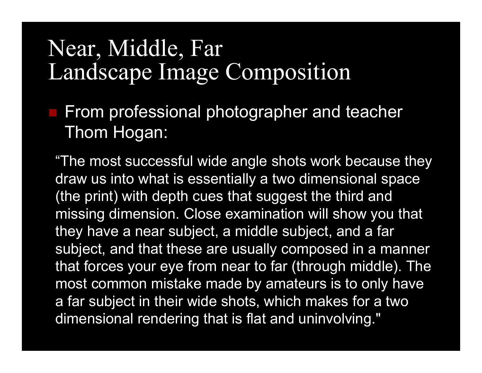#### Near, Middle, FarLandscape Image Composition

 From professional photographer and teacher Thom Hogan:

"The most successful wide angle shots work because they draw us into what is essentially a two dimensional space (the print) with depth cues that suggest the third and missing dimension. Close examination will show you that they have a near subject, a middle subject, and a far subject, and that these are usually composed in a manner that forces your eye from near to far (through middle). The most common mistake made by amateurs is to only have a far subject in their wide shots, which makes for a two dimensional rendering that is flat and uninvolving."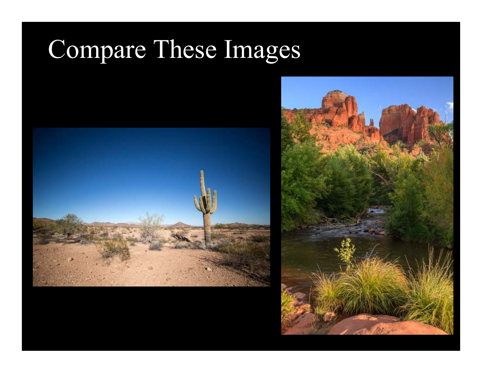## Compare These Images



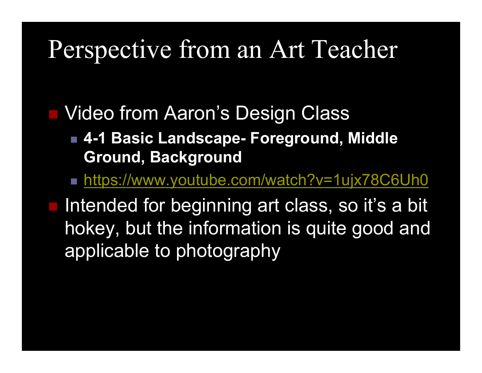### Perspective from an Art Teacher

■ Video from Aaron's Design Class

- **4-1 Basic Landscape- Foreground, Middle Ground, Background**
- https://www.youtube.com/watch?v=1ujx78C6Uh0

Intended for beginning art class, so it's a bit hokey, but the information is quite good and applicable to photography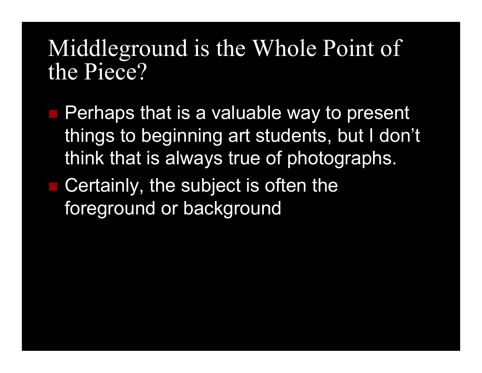#### Middleground is the Whole Point of the Piece?

- Perhaps that is a valuable way to present things to beginning art students, but I don't think that is always true of photographs.
- Certainly, the subject is often the foreground or background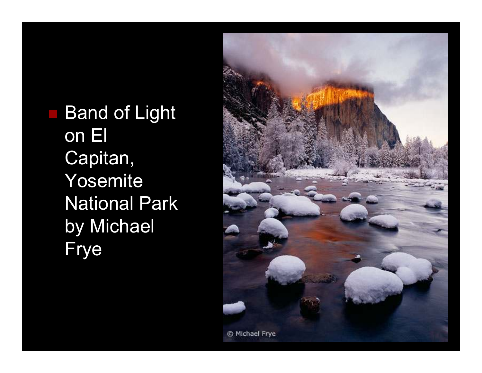Band of Light on El Capitan, Yosemite National Park by Michael Frye

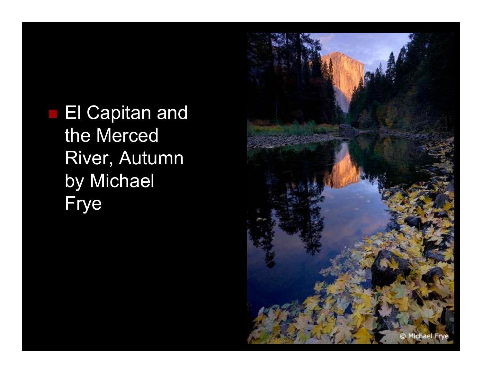**El Capitan and** the Merced River, Autumn by Michael Frye

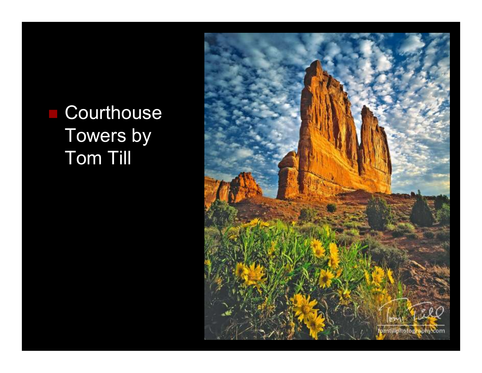#### **Courthouse** Towers by Tom Till

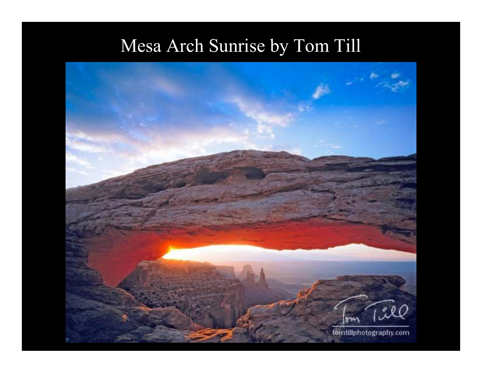#### Mesa Arch Sunrise by Tom Till